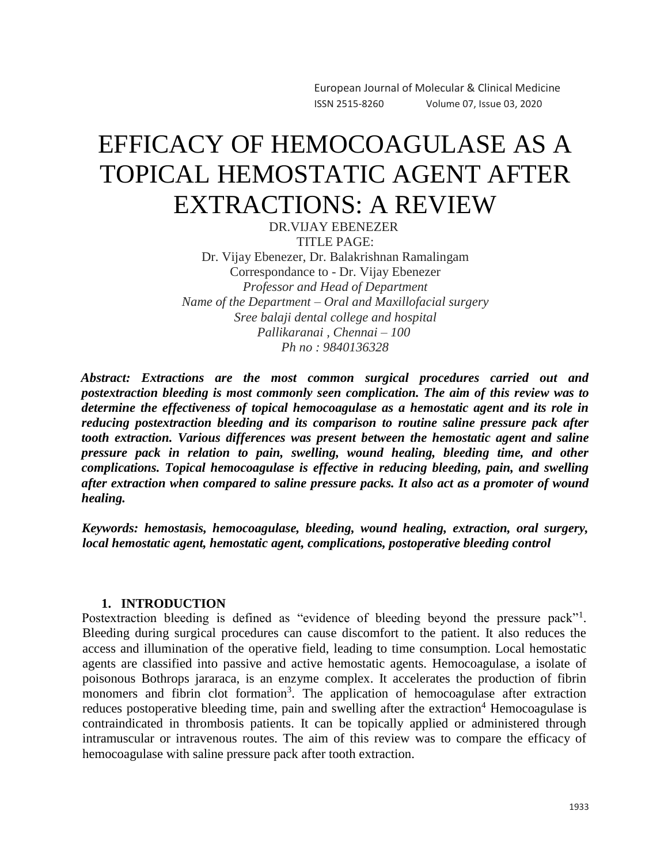European Journal of Molecular & Clinical Medicine ISSN 2515-8260 Volume 07, Issue 03, 2020

# EFFICACY OF HEMOCOAGULASE AS A TOPICAL HEMOSTATIC AGENT AFTER EXTRACTIONS: A REVIEW

DR.VIJAY EBENEZER TITLE PAGE: Dr. Vijay Ebenezer, Dr. Balakrishnan Ramalingam Correspondance to - Dr. Vijay Ebenezer *Professor and Head of Department Name of the Department – Oral and Maxillofacial surgery Sree balaji dental college and hospital Pallikaranai , Chennai – 100 Ph no : 9840136328*

*Abstract: Extractions are the most common surgical procedures carried out and postextraction bleeding is most commonly seen complication. The aim of this review was to determine the effectiveness of topical hemocoagulase as a hemostatic agent and its role in reducing postextraction bleeding and its comparison to routine saline pressure pack after tooth extraction. Various differences was present between the hemostatic agent and saline pressure pack in relation to pain, swelling, wound healing, bleeding time, and other complications. Topical hemocoagulase is effective in reducing bleeding, pain, and swelling after extraction when compared to saline pressure packs. It also act as a promoter of wound healing.*

*Keywords: hemostasis, hemocoagulase, bleeding, wound healing, extraction, oral surgery, local hemostatic agent, hemostatic agent, complications, postoperative bleeding control*

#### **1. INTRODUCTION**

Postextraction bleeding is defined as "evidence of bleeding beyond the pressure pack"<sup>1</sup>. Bleeding during surgical procedures can cause discomfort to the patient. It also reduces the access and illumination of the operative field, leading to time consumption. Local hemostatic agents are classified into passive and active hemostatic agents. Hemocoagulase, a isolate of poisonous Bothrops jararaca, is an enzyme complex. It accelerates the production of fibrin monomers and fibrin clot formation<sup>3</sup>. The application of hemocoagulase after extraction reduces postoperative bleeding time, pain and swelling after the extraction<sup>4</sup> Hemocoagulase is contraindicated in thrombosis patients. It can be topically applied or administered through intramuscular or intravenous routes. The aim of this review was to compare the efficacy of hemocoagulase with saline pressure pack after tooth extraction.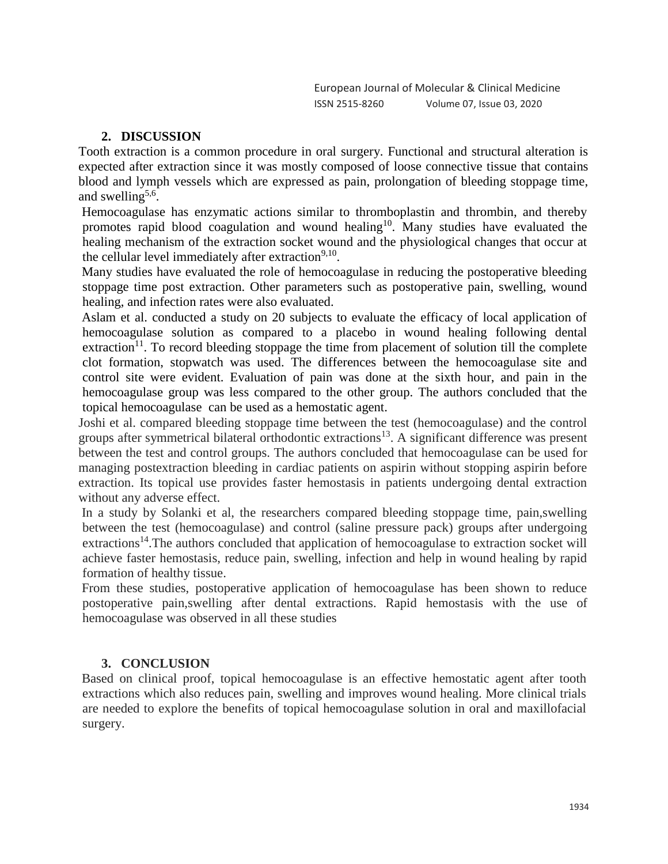## **2. DISCUSSION**

Tooth extraction is a common procedure in oral surgery. Functional and structural alteration is expected after extraction since it was mostly composed of loose connective tissue that contains blood and lymph vessels which are expressed as pain, prolongation of bleeding stoppage time, and swelling<sup>5,6</sup>.

Hemocoagulase has enzymatic actions similar to thromboplastin and thrombin, and thereby promotes rapid blood coagulation and wound healing<sup>10</sup>. Many studies have evaluated the healing mechanism of the extraction socket wound and the physiological changes that occur at the cellular level immediately after extraction<sup>9,10</sup>.

Many studies have evaluated the role of hemocoagulase in reducing the postoperative bleeding stoppage time post extraction. Other parameters such as postoperative pain, swelling, wound healing, and infection rates were also evaluated.

Aslam et al. conducted a study on 20 subjects to evaluate the efficacy of local application of hemocoagulase solution as compared to a placebo in wound healing following dental extraction<sup>11</sup>. To record bleeding stoppage the time from placement of solution till the complete clot formation, stopwatch was used. The differences between the hemocoagulase site and control site were evident. Evaluation of pain was done at the sixth hour, and pain in the hemocoagulase group was less compared to the other group. The authors concluded that the topical hemocoagulase can be used as a hemostatic agent.

Joshi et al. compared bleeding stoppage time between the test (hemocoagulase) and the control groups after symmetrical bilateral orthodontic extractions<sup>13</sup>. A significant difference was present between the test and control groups. The authors concluded that hemocoagulase can be used for managing postextraction bleeding in cardiac patients on aspirin without stopping aspirin before extraction. Its topical use provides faster hemostasis in patients undergoing dental extraction without any adverse effect.

In a study by Solanki et al, the researchers compared bleeding stoppage time, pain,swelling between the test (hemocoagulase) and control (saline pressure pack) groups after undergoing extractions<sup>14</sup>. The authors concluded that application of hemocoagulase to extraction socket will achieve faster hemostasis, reduce pain, swelling, infection and help in wound healing by rapid formation of healthy tissue.

From these studies, postoperative application of hemocoagulase has been shown to reduce postoperative pain,swelling after dental extractions. Rapid hemostasis with the use of hemocoagulase was observed in all these studies

## **3. CONCLUSION**

Based on clinical proof, topical hemocoagulase is an effective hemostatic agent after tooth extractions which also reduces pain, swelling and improves wound healing. More clinical trials are needed to explore the benefits of topical hemocoagulase solution in oral and maxillofacial surgery.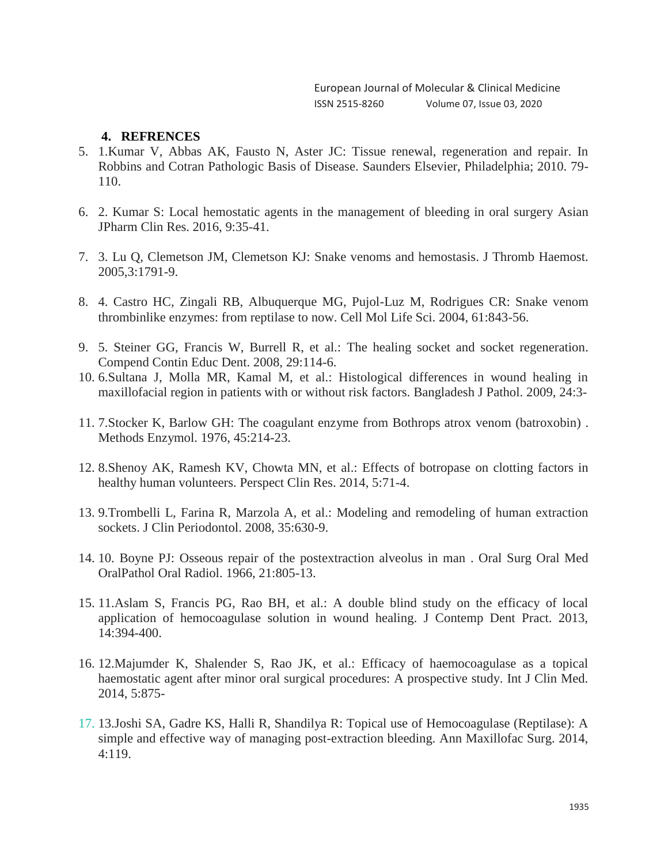European Journal of Molecular & Clinical Medicine ISSN 2515-8260 Volume 07, Issue 03, 2020

#### **4. REFRENCES**

- 5. 1[.Kumar V, Abbas AK, Fausto N, Aster JC: Tissue renewal, regeneration and repair. In](https://evolve.elsevier.com/cs/product/9781416031215?role=student)  [Robbins and Cotran Pathologic Basis of Disease. Saunders Elsevier, Philadelphia; 2010. 79-](https://evolve.elsevier.com/cs/product/9781416031215?role=student) [110.](https://evolve.elsevier.com/cs/product/9781416031215?role=student)
- 6. 2. Kumar S: [Local hemostatic agents in the management of bleeding in oral surgery](https://pdfs.semanticscholar.org/de91/db7fd7584db26a48b941d0f1b7a1cf8ed869.pdf) Asian JPharm Clin Res. 2016, 9:35-41.
- 7. 3. Lu Q, Clemetson JM, Clemetson KJ: [Snake venoms and hemostasis.](https://dx.doi.org/10.1111/j.1538-7836.2005.01358.x) J Thromb Haemost. 2005,3:1791-9.
- 8. 4. [Castro HC, Zingali RB, Albuquerque MG, Pujol-Luz M, Rodrigues CR: Snake venom](https://dx.doi.org/10.1007/s00018-003-3325-z)  [thrombinlike enzymes: from reptilase to now. Cell Mol Life Sci. 2004, 61:843-56.](https://dx.doi.org/10.1007/s00018-003-3325-z)
- 9. 5. Steiner GG, Francis W, Burrell R, et al.: [The healing socket and socket regeneration.](http://www.endoexperience.com/userfiles/file/unnamed/The%20Healing%20Socket%20And%20Socket%20Regeneration.pdf) Compend Contin Educ Dent. 2008, 29:114-6.
- 10. 6[.Sultana J, Molla MR, Kamal M, et al.: Histological differences in wound healing in](https://dx.doi.org/10.3329/bjpath.v24i1.2874)  [maxillofacial region in patients with or without risk factors. Bangladesh J Pathol. 20](https://dx.doi.org/10.3329/bjpath.v24i1.2874)09, 24:3-
- 11. 7.Stocker K, Barlow GH: [The coagulant enzyme from Bothrops atrox venom \(batroxobin\)](https://dx.doi.org/10.1016/S0076-6879(76)45021-8) . Methods Enzymol. 1976, 45:214-23.
- 12. 8[.Shenoy AK, Ramesh KV, Chowta MN, et al.: Effects of botropase](https://dx.doi.org/10.4103/2229-3485.128024) on clotting factors in [healthy human volunteers. Perspect Clin Res. 2014, 5:71-4.](https://dx.doi.org/10.4103/2229-3485.128024)
- 13. 9[.Trombelli L, Farina R, Marzola A, et al.: Modeling and remodeling of human extraction](https://dx.doi.org/10.1111/j.1600-051X.2008.01246.x)  [sockets. J Clin Periodontol. 2008, 35:630-9.](https://dx.doi.org/10.1111/j.1600-051X.2008.01246.x)
- 14. 10. Boyne PJ: [Osseous repair of the postextraction alveolus in man](https://dx.doi.org/10.1016/0030-4220(66)90104-6) . Oral Surg Oral Med OralPathol Oral Radiol. 1966, 21:805-13.
- 15. 11[.Aslam S, Francis PG, Rao BH, et al.: A double blind study on the efficacy of local](https://dx.doi.org/10.5005/jp-journals-10024-1334)  [application of hemocoagulase solution in wound healing. J Contemp Dent Pract. 2013,](https://dx.doi.org/10.5005/jp-journals-10024-1334)  [14:394-400.](https://dx.doi.org/10.5005/jp-journals-10024-1334)
- 16. 12[.Majumder K, Shalender S, Rao JK, et al.: Efficacy of haemocoagulase as a topical](https://dx.doi.org/10.4236/ijcm.2014.514117)  [haemostatic agent after minor oral surgical procedures: A prospective study. Int J Clin Med.](https://dx.doi.org/10.4236/ijcm.2014.514117)  [2014, 5:875-](https://dx.doi.org/10.4236/ijcm.2014.514117)
- 17. 13[.Joshi SA, Gadre KS, Halli R, Shandilya R: Topical use of Hemocoagulase \(Reptilase\): A](https://dx.doi.org/10.4103/2231-0746.133082)  [simple and effective way of managing post-extraction bleeding. Ann Maxillofac Surg. 2014,](https://dx.doi.org/10.4103/2231-0746.133082)  [4:119.](https://dx.doi.org/10.4103/2231-0746.133082)